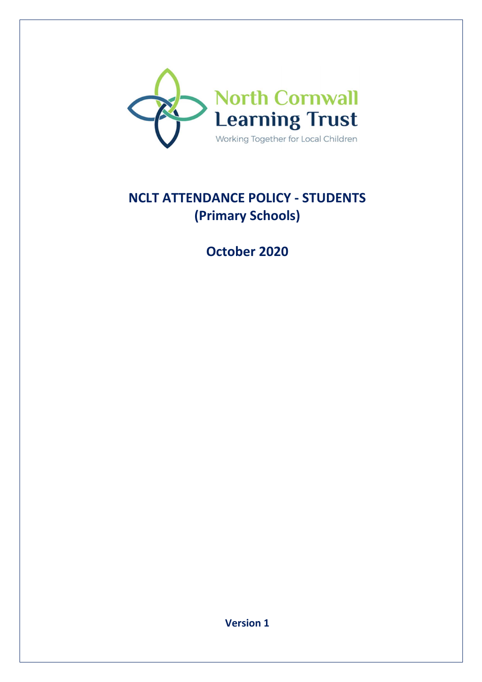

# **NCLT ATTENDANCE POLICY - STUDENTS (Primary Schools)**

**October 2020** 

**Version 1**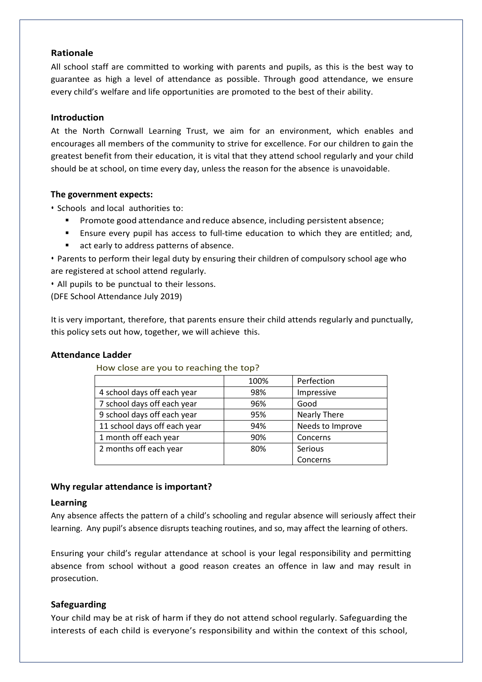#### **Rationale**

All school staff are committed to working with parents and pupils, as this is the best way to guarantee as high a level of attendance as possible. Through good attendance, we ensure every child's welfare and life opportunities are promoted to the best of their ability.

# **Introduction**

At the North Cornwall Learning Trust, we aim for an environment, which enables and encourages all members of the community to strive for excellence. For our children to gain the greatest benefit from their education, it is vital that they attend school regularly and your child should be at school, on time every day, unless the reason for the absence is unavoidable.

# **The government expects:**

• Schools and local authorities to:

- **Promote good attendance and reduce absence, including persistent absence;**
- Ensure every pupil has access to full-time education to which they are entitled; and,
- act early to address patterns of absence.

• Parents to perform their legal duty by ensuring their children of compulsory school age who are registered at school attend regularly.

• All pupils to be punctual to their lessons.

(DFE School Attendance July 2019)

It is very important, therefore, that parents ensure their child attends regularly and punctually, this policy sets out how, together, we will achieve this.

# **Attendance Ladder**

How close are you to reaching the top?

|                              | 100% | Perfection          |
|------------------------------|------|---------------------|
| 4 school days off each year  | 98%  | Impressive          |
| 7 school days off each year  | 96%  | Good                |
| 9 school days off each year  | 95%  | <b>Nearly There</b> |
| 11 school days off each year | 94%  | Needs to Improve    |
| 1 month off each year        | 90%  | Concerns            |
| 2 months off each year       | 80%  | Serious             |
|                              |      | Concerns            |

# **Why regular attendance is important?**

#### **Learning**

Any absence affects the pattern of a child's schooling and regular absence will seriously affect their learning. Any pupil's absence disrupts teaching routines, and so, may affect the learning of others.

Ensuring your child's regular attendance at school is your legal responsibility and permitting absence from school without a good reason creates an offence in law and may result in prosecution.

# **Safeguarding**

Your child may be at risk of harm if they do not attend school regularly. Safeguarding the interests of each child is everyone's responsibility and within the context of this school,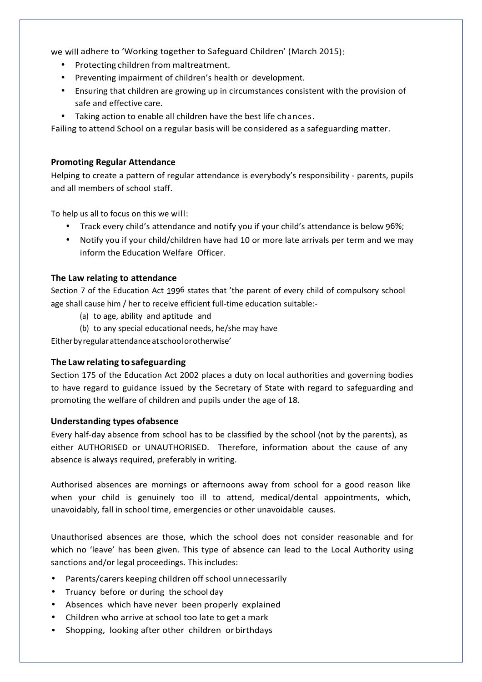we will adhere to 'Working together to Safeguard Children' (March 2015):

- Protecting children from maltreatment.
- Preventing impairment of children's health or development.
- Ensuring that children are growing up in circumstances consistent with the provision of safe and effective care.
- Taking action to enable all children have the best life chances.

Failing to attend School on a regular basis will be considered as a safeguarding matter.

#### **Promoting Regular Attendance**

Helping to create a pattern of regular attendance is everybody's responsibility - parents, pupils and all members of school staff.

To help us all to focus on this we will:

- Track every child's attendance and notify you if your child's attendance is below 96%;
- Notify you if your child/children have had 10 or more late arrivals per term and we may inform the Education Welfare Officer.

# **The Law relating to attendance**

Section 7 of the Education Act 1996 states that 'the parent of every child of compulsory school age shall cause him / her to receive efficient full-time education suitable:-

- (a) to age, ability and aptitude and
- (b) to any special educational needs, he/she may have

Either by regular attendance at school or otherwise'

# **The Law relating to safeguarding**

Section 175 of the Education Act 2002 places a duty on local authorities and governing bodies to have regard to guidance issued by the Secretary of State with regard to safeguarding and promoting the welfare of children and pupils under the age of 18.

#### **Understanding types of absence**

Every half-day absence from school has to be classified by the school (not by the parents), as either AUTHORISED or UNAUTHORISED. Therefore, information about the cause of any absence is always required, preferably in writing.

Authorised absences are mornings or afternoons away from school for a good reason like when your child is genuinely too ill to attend, medical/dental appointments, which, unavoidably, fall in school time, emergencies or other unavoidable causes.

Unauthorised absences are those, which the school does not consider reasonable and for which no 'leave' has been given. This type of absence can lead to the Local Authority using sanctions and/or legal proceedings. This includes:

- Parents/carers keeping children off school unnecessarily
- Truancy before or during the school day
- Absences which have never been properly explained
- Children who arrive at school too late to get a mark
- Shopping, looking after other children or birthdays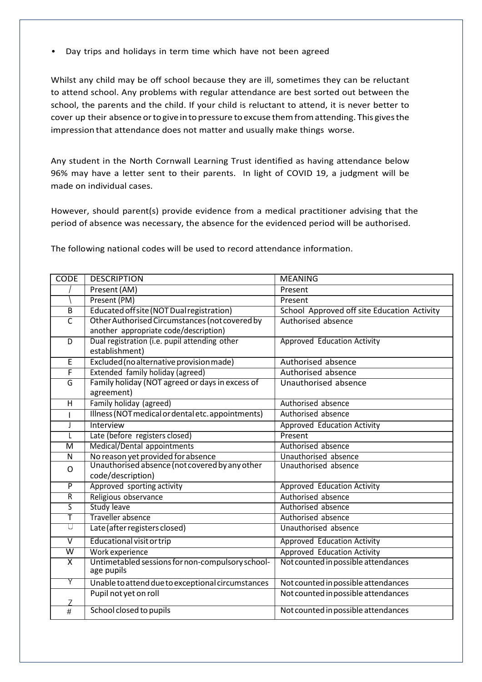• Day trips and holidays in term time which have not been agreed

Whilst any child may be off school because they are ill, sometimes they can be reluctant to attend school. Any problems with regular attendance are best sorted out between the school, the parents and the child. If your child is reluctant to attend, it is never better to cover up their absence or to give in to pressure to excuse them from attending. This gives the impression that attendance does not matter and usually make things worse.

Any student in the North Cornwall Learning Trust identified as having attendance below 96% may have a letter sent to their parents. In light of COVID 19, a judgment will be made on individual cases.

However, should parent(s) provide evidence from a medical practitioner advising that the period of absence was necessary, the absence for the evidenced period will be authorised.

The following national codes will be used to record attendance information.

| <b>CODE</b>             | <b>DESCRIPTION</b>                                                                   | <b>MEANING</b>                              |  |
|-------------------------|--------------------------------------------------------------------------------------|---------------------------------------------|--|
|                         | Present (AM)                                                                         | Present                                     |  |
|                         | Present (PM)                                                                         | Present                                     |  |
| B                       | Educated off site (NOT Dual registration)                                            | School Approved off site Education Activity |  |
| $\overline{\mathsf{C}}$ | Other Authorised Circumstances (not covered by                                       | Authorised absence                          |  |
|                         | another appropriate code/description)                                                |                                             |  |
| D                       | Dual registration (i.e. pupil attending other                                        | Approved Education Activity                 |  |
|                         | establishment)                                                                       |                                             |  |
| $\overline{E}$          | Excluded (no alternative provision made)                                             | Authorised absence                          |  |
| F                       | Extended family holiday (agreed)                                                     | Authorised absence                          |  |
| G                       | Family holiday (NOT agreed or days in excess of                                      | Unauthorised absence                        |  |
|                         | agreement)                                                                           |                                             |  |
| H                       | Family holiday (agreed)                                                              | Authorised absence                          |  |
|                         | Illness (NOT medical or dental etc. appointments)                                    | Authorised absence                          |  |
| J                       | <b>Interview</b>                                                                     | Approved Education Activity                 |  |
| L                       | Late (before registers closed)                                                       | Present                                     |  |
| $\overline{M}$          | Medical/Dental appointments                                                          | Authorised absence                          |  |
| N                       | No reason yet provided for absence<br>Unauthorised absence (not covered by any other | Unauthorised absence                        |  |
| $\mathsf{O}$            |                                                                                      | Unauthorised absence                        |  |
|                         | code/description)                                                                    |                                             |  |
| $\overline{P}$          | Approved sporting activity                                                           | Approved Education Activity                 |  |
| $\overline{R}$          | Religious observance                                                                 | Authorised absence                          |  |
| $\overline{\mathsf{s}}$ | <b>Study leave</b>                                                                   | Authorised absence                          |  |
| Ŧ                       | <b>Traveller absence</b>                                                             | Authorised absence                          |  |
| U                       | Late (after registers closed)                                                        | Unauthorised absence                        |  |
| $\overline{\mathsf{v}}$ | <b>Educational visit or trip</b>                                                     | <b>Approved Education Activity</b>          |  |
| $\overline{\mathsf{w}}$ | Work experience                                                                      | <b>Approved Education Activity</b>          |  |
| $\overline{\mathsf{x}}$ | Untimetabled sessions for non-compulsory school-<br>age pupils                       | Not counted in possible attendances         |  |
| Υ                       | Unable to attend due to exceptional circumstances                                    | Not counted in possible attendances         |  |
|                         | Pupil not yet on roll                                                                | Not counted in possible attendances         |  |
| 7                       |                                                                                      |                                             |  |
| $\#$                    | School closed to pupils                                                              | Not counted in possible attendances         |  |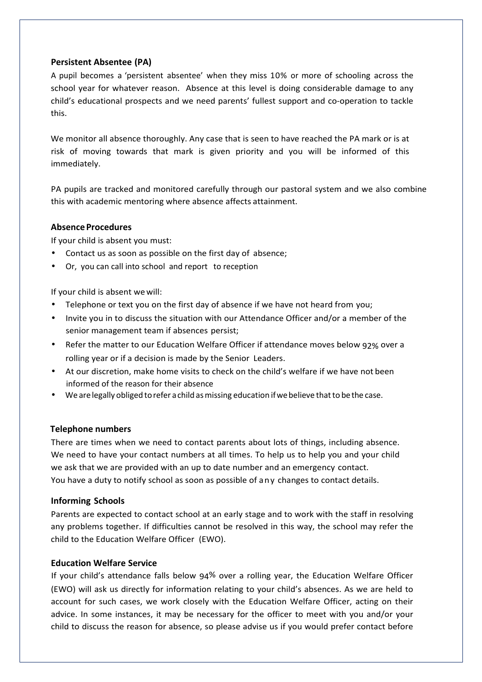# **Persistent Absentee (PA)**

A pupil becomes a 'persistent absentee' when they miss 10% or more of schooling across the school year for whatever reason. Absence at this level is doing considerable damage to any child's educational prospects and we need parents' fullest support and co-operation to tackle this.

We monitor all absence thoroughly. Any case that is seen to have reached the PA mark or is at risk of moving towards that mark is given priority and you will be informed of this immediately.

PA pupils are tracked and monitored carefully through our pastoral system and we also combine this with academic mentoring where absence affects attainment.

#### **Absence Procedures**

If your child is absent you must:

- Contact us as soon as possible on the first day of absence;
- Or, you can call into school and report to reception

If your child is absent we will:

- Telephone or text you on the first day of absence if we have not heard from you;
- Invite you in to discuss the situation with our Attendance Officer and/or a member of the senior management team if absences persist;
- Refer the matter to our Education Welfare Officer if attendance moves below 92% over a rolling year or if a decision is made by the Senior Leaders.
- At our discretion, make home visits to check on the child's welfare if we have not been informed of the reason for their absence
- We are legally obliged to refer a child as missing education if we believe that to be the case.

#### **Telephone numbers**

There are times when we need to contact parents about lots of things, including absence. We need to have your contact numbers at all times. To help us to help you and your child we ask that we are provided with an up to date number and an emergency contact. You have a duty to notify school as soon as possible of any changes to contact details.

#### **Informing Schools**

Parents are expected to contact school at an early stage and to work with the staff in resolving any problems together. If difficulties cannot be resolved in this way, the school may refer the child to the Education Welfare Officer (EWO).

#### **Education Welfare Service**

If your child's attendance falls below 94% over a rolling year, the Education Welfare Officer (EWO) will ask us directly for information relating to your child's absences. As we are held to account for such cases, we work closely with the Education Welfare Officer, acting on their advice. In some instances, it may be necessary for the officer to meet with you and/or your child to discuss the reason for absence, so please advise us if you would prefer contact before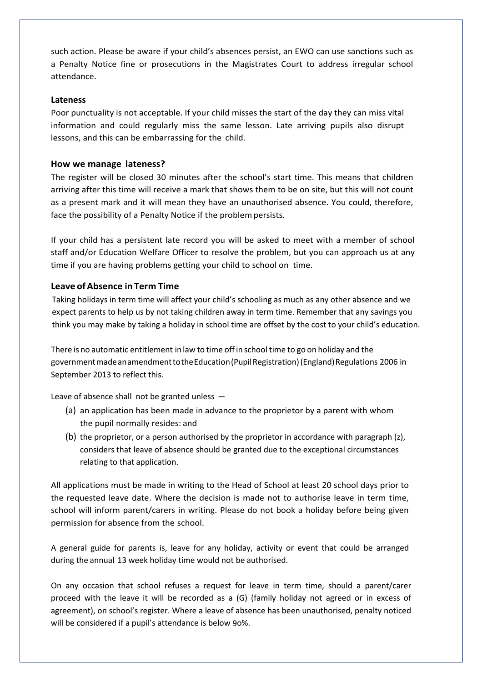such action. Please be aware if your child's absences persist, an EWO can use sanctions such as a Penalty Notice fine or prosecutions in the Magistrates Court to address irregular school attendance.

#### **Lateness**

Poor punctuality is not acceptable. If your child misses the start of the day they can miss vital information and could regularly miss the same lesson. Late arriving pupils also disrupt lessons, and this can be embarrassing for the child.

# **How we manage lateness?**

The register will be closed 30 minutes after the school's start time. This means that children arriving after this time will receive a mark that shows them to be on site, but this will not count as a present mark and it will mean they have an unauthorised absence. You could, therefore, face the possibility of a Penalty Notice if the problem persists.

If your child has a persistent late record you will be asked to meet with a member of school staff and/or Education Welfare Officer to resolve the problem, but you can approach us at any time if you are having problems getting your child to school on time.

# **Leave of Absence in Term Time**

 Taking holidays in term time will affect your child's schooling as much as any other absence and we expect parents to help us by not taking children away in term time. Remember that any savings you think you may make by taking a holiday in school time are offset by the cost to your child's education.

There is no automatic entitlement in law to time off in school time to go on holiday and the government made an amendment to the Education (Pupil Registration) (England) Regulations 2006 in September 2013 to reflect this.

Leave of absence shall not be granted unless —

- (a) an application has been made in advance to the proprietor by a parent with whom the pupil normally resides: and
- (b) the proprietor, or a person authorised by the proprietor in accordance with paragraph (z), considers that leave of absence should be granted due to the exceptional circumstances relating to that application.

All applications must be made in writing to the Head of School at least 20 school days prior to the requested leave date. Where the decision is made not to authorise leave in term time, school will inform parent/carers in writing. Please do not book a holiday before being given permission for absence from the school.

A general guide for parents is, leave for any holiday, activity or event that could be arranged during the annual 13 week holiday time would not be authorised.

On any occasion that school refuses a request for leave in term time, should a parent/carer proceed with the leave it will be recorded as a (G) (family holiday not agreed or in excess of agreement), on school's register. Where a leave of absence has been unauthorised, penalty noticed will be considered if a pupil's attendance is below 9o%.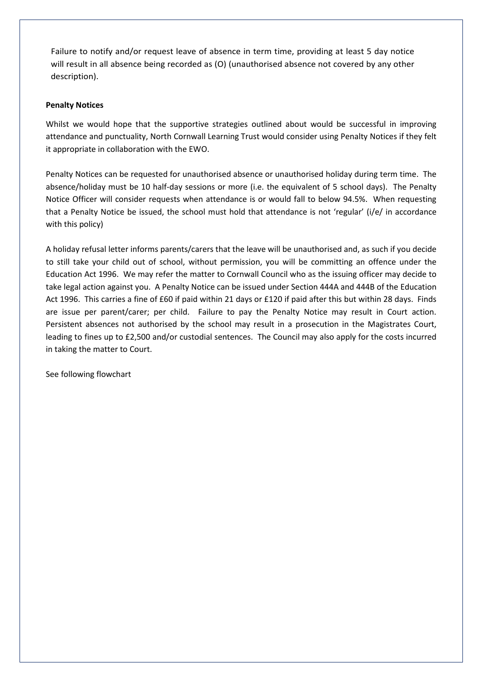Failure to notify and/or request leave of absence in term time, providing at least 5 day notice will result in all absence being recorded as (O) (unauthorised absence not covered by any other description).

#### **Penalty Notices**

Whilst we would hope that the supportive strategies outlined about would be successful in improving attendance and punctuality, North Cornwall Learning Trust would consider using Penalty Notices if they felt it appropriate in collaboration with the EWO.

Penalty Notices can be requested for unauthorised absence or unauthorised holiday during term time. The absence/holiday must be 10 half-day sessions or more (i.e. the equivalent of 5 school days). The Penalty Notice Officer will consider requests when attendance is or would fall to below 94.5%. When requesting that a Penalty Notice be issued, the school must hold that attendance is not 'regular' (i/e/ in accordance with this policy)

A holiday refusal letter informs parents/carers that the leave will be unauthorised and, as such if you decide to still take your child out of school, without permission, you will be committing an offence under the Education Act 1996. We may refer the matter to Cornwall Council who as the issuing officer may decide to take legal action against you. A Penalty Notice can be issued under Section 444A and 444B of the Education Act 1996. This carries a fine of £60 if paid within 21 days or £120 if paid after this but within 28 days. Finds are issue per parent/carer; per child. Failure to pay the Penalty Notice may result in Court action. Persistent absences not authorised by the school may result in a prosecution in the Magistrates Court, leading to fines up to £2,500 and/or custodial sentences. The Council may also apply for the costs incurred in taking the matter to Court.

See following flowchart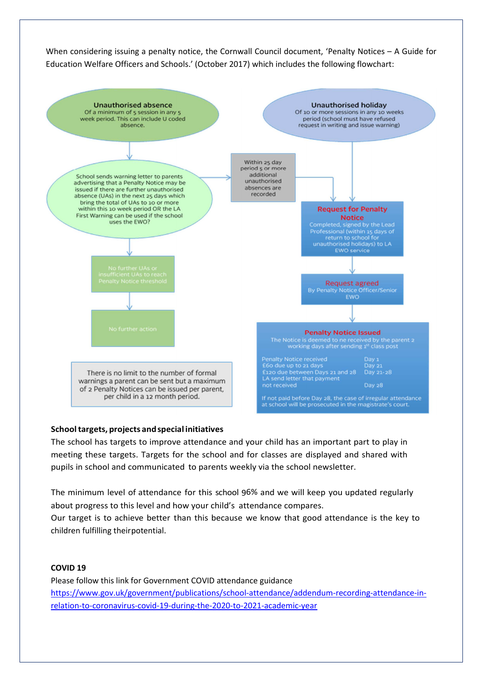When considering issuing a penalty notice, the Cornwall Council document, 'Penalty Notices – A Guide for Education Welfare Officers and Schools.' (October 2017) which includes the following flowchart:



#### **School targets, projects and special initiatives**

The school has targets to improve attendance and your child has an important part to play in meeting these targets. Targets for the school and for classes are displayed and shared with pupils in school and communicated to parents weekly via the school newsletter.

The minimum level of attendance for this school 96% and we will keep you updated regularly about progress to this level and how your child's attendance compares.

Our target is to achieve better than this because we know that good attendance is the key to children fulfilling their potential.

#### **COVID 19**

Please follow this link for Government COVID attendance guidance https://www.gov.uk/government/publications/school-attendance/addendum-recording-attendance-inrelation-to-coronavirus-covid-19-during-the-2020-to-2021-academic-year